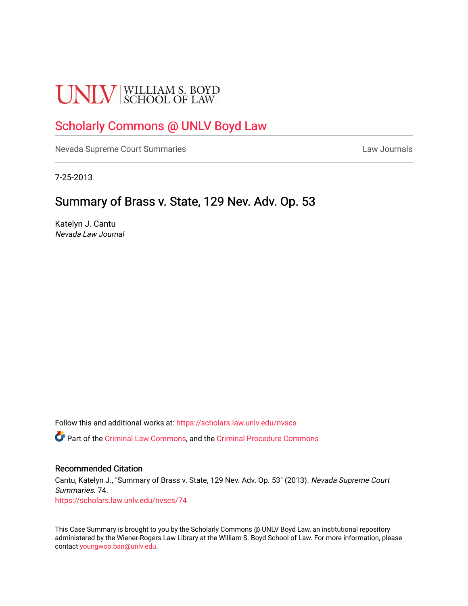# **UNLV** SCHOOL OF LAW

## [Scholarly Commons @ UNLV Boyd Law](https://scholars.law.unlv.edu/)

[Nevada Supreme Court Summaries](https://scholars.law.unlv.edu/nvscs) **Law Journals** Law Journals

7-25-2013

### Summary of Brass v. State, 129 Nev. Adv. Op. 53

Katelyn J. Cantu Nevada Law Journal

Follow this and additional works at: [https://scholars.law.unlv.edu/nvscs](https://scholars.law.unlv.edu/nvscs?utm_source=scholars.law.unlv.edu%2Fnvscs%2F74&utm_medium=PDF&utm_campaign=PDFCoverPages)

Part of the [Criminal Law Commons,](http://network.bepress.com/hgg/discipline/912?utm_source=scholars.law.unlv.edu%2Fnvscs%2F74&utm_medium=PDF&utm_campaign=PDFCoverPages) and the [Criminal Procedure Commons](http://network.bepress.com/hgg/discipline/1073?utm_source=scholars.law.unlv.edu%2Fnvscs%2F74&utm_medium=PDF&utm_campaign=PDFCoverPages)

#### Recommended Citation

Cantu, Katelyn J., "Summary of Brass v. State, 129 Nev. Adv. Op. 53" (2013). Nevada Supreme Court Summaries. 74. [https://scholars.law.unlv.edu/nvscs/74](https://scholars.law.unlv.edu/nvscs/74?utm_source=scholars.law.unlv.edu%2Fnvscs%2F74&utm_medium=PDF&utm_campaign=PDFCoverPages) 

This Case Summary is brought to you by the Scholarly Commons @ UNLV Boyd Law, an institutional repository administered by the Wiener-Rogers Law Library at the William S. Boyd School of Law. For more information, please contact [youngwoo.ban@unlv.edu](mailto:youngwoo.ban@unlv.edu).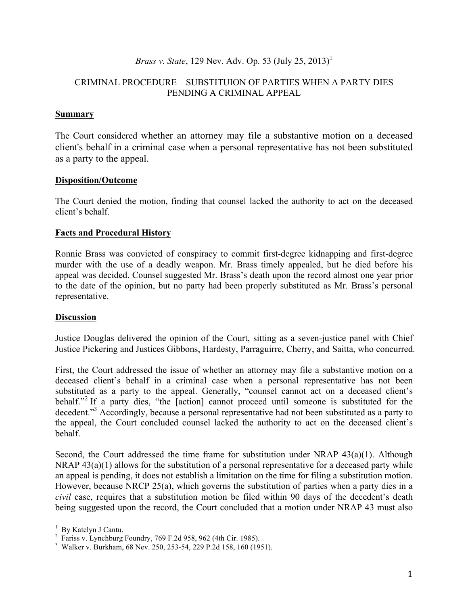#### *Brass v. State*, 129 Nev. Adv. Op. 53 (July 25, 2013)<sup>1</sup>

#### CRIMINAL PROCEDURE—SUBSTITUION OF PARTIES WHEN A PARTY DIES PENDING A CRIMINAL APPEAL

#### **Summary**

The Court considered whether an attorney may file a substantive motion on a deceased client's behalf in a criminal case when a personal representative has not been substituted as a party to the appeal.

#### **Disposition/Outcome**

The Court denied the motion, finding that counsel lacked the authority to act on the deceased client's behalf.

#### **Facts and Procedural History**

Ronnie Brass was convicted of conspiracy to commit first-degree kidnapping and first-degree murder with the use of a deadly weapon. Mr. Brass timely appealed, but he died before his appeal was decided. Counsel suggested Mr. Brass's death upon the record almost one year prior to the date of the opinion, but no party had been properly substituted as Mr. Brass's personal representative.

#### **Discussion**

Justice Douglas delivered the opinion of the Court, sitting as a seven-justice panel with Chief Justice Pickering and Justices Gibbons, Hardesty, Parraguirre, Cherry, and Saitta, who concurred.

First, the Court addressed the issue of whether an attorney may file a substantive motion on a deceased client's behalf in a criminal case when a personal representative has not been substituted as a party to the appeal. Generally, "counsel cannot act on a deceased client's behalf."<sup>2</sup> If a party dies, "the [action] cannot proceed until someone is substituted for the decedent."<sup>3</sup> Accordingly, because a personal representative had not been substituted as a party to the appeal, the Court concluded counsel lacked the authority to act on the deceased client's behalf.

Second, the Court addressed the time frame for substitution under NRAP 43(a)(1). Although NRAP  $43(a)(1)$  allows for the substitution of a personal representative for a deceased party while an appeal is pending, it does not establish a limitation on the time for filing a substitution motion. However, because NRCP 25(a), which governs the substitution of parties when a party dies in a *civil* case, requires that a substitution motion be filed within 90 days of the decedent's death being suggested upon the record, the Court concluded that a motion under NRAP 43 must also

 $\frac{1}{1}$  Dy Katalyn I Canty  $\frac{1}{2}$  By Katelyn J Cantu.

Fariss v. Lynchburg Foundry, 769 F.2d 958, 962 (4th Cir. 1985). 3

Walker v. Burkham, 68 Nev. 250, 253-54, 229 P.2d 158, 160 (1951).